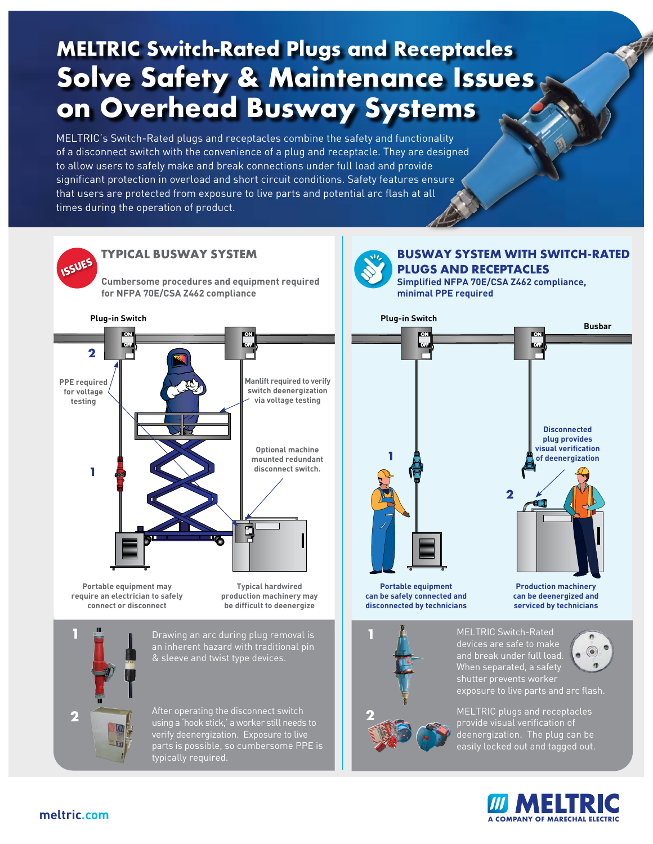# **MELTRIC Switch-Rated Plugs and Receptacles Solve Safety & Maintenance Issues on Overhead Busway Systems**

MELTRIC's Switch-Rated plugs and receptacles combine the safety and functionality of a disconnect switch with the convenience of a plug and receptacle. They are designed to allow users to safely make and break connections under full load and provide significant protection in overload and short circuit conditions. Safety features ensure that users are protected from exposure to live parts and potential arc flash at all times during the operation of product.



using a 'hook stick,' a worker still needs to verify deenergization. Exposure to live parts is possible, so cumbersome PPE is typically required.



MELTRIC plugs and receptacles provide visual verification of deenergization. The plug can be easily locked out and tagged out.



#### **[m](https://www.meltric.com)eltric.co[m](https://www.meltric.com)**

**2**